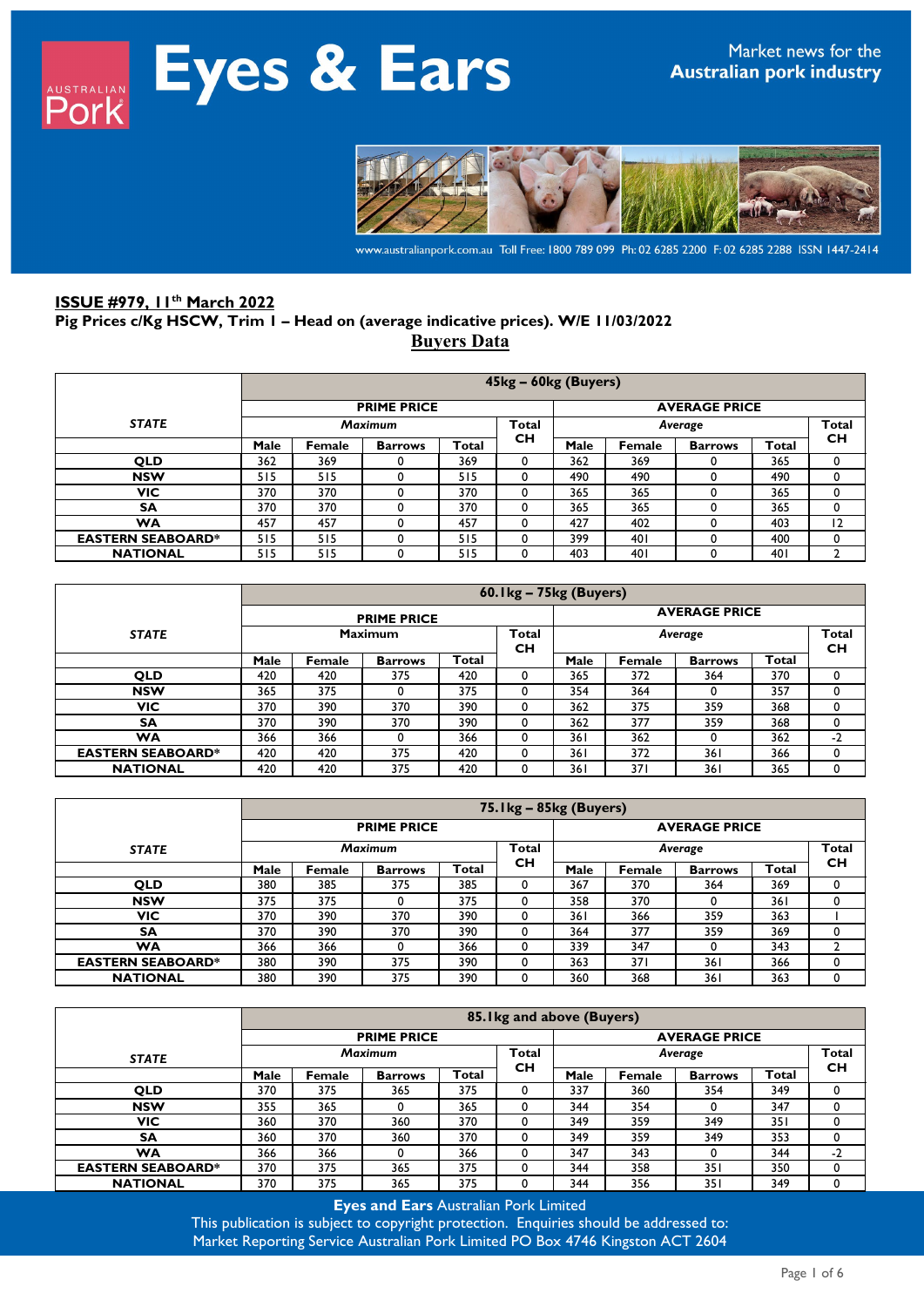

www.australianpork.com.au Toll Free: 1800 789 099 Ph: 02 6285 2200 F: 02 6285 2288 ISSN 1447-2414

# **ISSUE #979, 11th March 2022 Pig Prices c/Kg HSCW, Trim 1 – Head on (average indicative prices). W/E 11/03/2022 Buyers Data**

|                          |      | 45kg - 60kg (Buyers)                       |                |       |              |      |        |                |       |           |  |  |  |  |
|--------------------------|------|--------------------------------------------|----------------|-------|--------------|------|--------|----------------|-------|-----------|--|--|--|--|
|                          |      | <b>PRIME PRICE</b><br><b>AVERAGE PRICE</b> |                |       |              |      |        |                |       |           |  |  |  |  |
| <b>STATE</b>             |      |                                            | <b>Maximum</b> |       | <b>Total</b> |      |        | Average        |       | Total     |  |  |  |  |
|                          | Male | Female                                     | <b>Barrows</b> | Total | <b>CH</b>    | Male | Female | <b>Barrows</b> | Total | <b>CH</b> |  |  |  |  |
| <b>QLD</b>               | 362  | 369                                        |                | 369   | $\mathbf 0$  | 362  | 369    |                | 365   | 0         |  |  |  |  |
| <b>NSW</b>               | 515  | 515                                        | 0              | 515   | 0            | 490  | 490    |                | 490   | 0         |  |  |  |  |
| <b>VIC</b>               | 370  | 370                                        |                | 370   | 0            | 365  | 365    |                | 365   | 0         |  |  |  |  |
| SΑ                       | 370  | 370                                        |                | 370   | 0            | 365  | 365    |                | 365   | 0         |  |  |  |  |
| WA                       | 457  | 457                                        |                | 457   | 0            | 427  | 402    |                | 403   | 12        |  |  |  |  |
| <b>EASTERN SEABOARD*</b> | 515  | 515                                        | 0              | 515   | 0            | 399  | 401    |                | 400   | 0         |  |  |  |  |
| <b>NATIONAL</b>          | 515  | 515                                        |                | 515   | 0            | 403  | 401    |                | 40 I  |           |  |  |  |  |

|                          |      | 60. Ikg - 75kg (Buyers) |                    |       |                      |                         |        |                |       |           |  |  |  |
|--------------------------|------|-------------------------|--------------------|-------|----------------------|-------------------------|--------|----------------|-------|-----------|--|--|--|
|                          |      |                         | <b>PRIME PRICE</b> |       | <b>AVERAGE PRICE</b> |                         |        |                |       |           |  |  |  |
| <b>STATE</b>             |      |                         | <b>Maximum</b>     |       | Total<br><b>CH</b>   | <b>Total</b><br>Average |        |                |       |           |  |  |  |
|                          | Male | Female                  | <b>Barrows</b>     | Total |                      | Male                    | Female | <b>Barrows</b> | Total | <b>CH</b> |  |  |  |
| <b>QLD</b>               | 420  | 420                     | 375                | 420   | 0                    | 365                     | 372    | 364            | 370   |           |  |  |  |
| <b>NSW</b>               | 365  | 375                     | 0                  | 375   | 0                    | 354                     | 364    | 0              | 357   |           |  |  |  |
| <b>VIC</b>               | 370  | 390                     | 370                | 390   | 0                    | 362                     | 375    | 359            | 368   |           |  |  |  |
| <b>SA</b>                | 370  | 390                     | 370                | 390   | 0                    | 362                     | 377    | 359            | 368   |           |  |  |  |
| WA                       | 366  | 366                     |                    | 366   | 0                    | 361                     | 362    | O              | 362   | $-2$      |  |  |  |
| <b>EASTERN SEABOARD*</b> | 420  | 420                     | 375                | 420   | 0                    | 361                     | 372    | 361            | 366   |           |  |  |  |
| <b>NATIONAL</b>          | 420  | 420                     | 375                | 420   |                      | 361                     | 371    | 361            | 365   |           |  |  |  |

|                          |      |                |                    |              | 75. Ikg - 85kg (Buyers) |                         |        |                |       |    |  |  |
|--------------------------|------|----------------|--------------------|--------------|-------------------------|-------------------------|--------|----------------|-------|----|--|--|
|                          |      |                | <b>PRIME PRICE</b> |              |                         | <b>AVERAGE PRICE</b>    |        |                |       |    |  |  |
| <b>STATE</b>             |      | <b>Maximum</b> |                    |              |                         | <b>Total</b><br>Average |        |                |       |    |  |  |
|                          | Male | Female         | <b>Barrows</b>     | <b>Total</b> | <b>CH</b>               | Male                    | Female | <b>Barrows</b> | Total | CН |  |  |
| <b>QLD</b>               | 380  | 385            | 375                | 385          |                         | 367                     | 370    | 364            | 369   | 0  |  |  |
| <b>NSW</b>               | 375  | 375            |                    | 375          |                         | 358                     | 370    |                | 361   |    |  |  |
| <b>VIC</b>               | 370  | 390            | 370                | 390          |                         | 361                     | 366    | 359            | 363   |    |  |  |
| <b>SA</b>                | 370  | 390            | 370                | 390          |                         | 364                     | 377    | 359            | 369   | 0  |  |  |
| <b>WA</b>                | 366  | 366            |                    | 366          |                         | 339                     | 347    |                | 343   |    |  |  |
| <b>EASTERN SEABOARD*</b> | 380  | 390            | 375                | 390          |                         | 363                     | 37 I   | 361            | 366   | 0  |  |  |
| <b>NATIONAL</b>          | 380  | 390            | 375                | 390          |                         | 360                     | 368    | 361            | 363   | 0  |  |  |

|                          |      | 85.1kg and above (Buyers) |                    |       |              |                      |        |                |       |              |  |  |
|--------------------------|------|---------------------------|--------------------|-------|--------------|----------------------|--------|----------------|-------|--------------|--|--|
|                          |      |                           | <b>PRIME PRICE</b> |       |              | <b>AVERAGE PRICE</b> |        |                |       |              |  |  |
| <b>STATE</b>             |      |                           | <b>Maximum</b>     |       | <b>Total</b> |                      |        | Average        |       | <b>Total</b> |  |  |
|                          | Male | Female                    | <b>Barrows</b>     | Total | <b>CH</b>    | Male                 | Female | <b>Barrows</b> | Total | CН           |  |  |
| <b>OLD</b>               | 370  | 375                       | 365                | 375   | 0            | 337                  | 360    | 354            | 349   | 0            |  |  |
| <b>NSW</b>               | 355  | 365                       |                    | 365   | 0            | 344                  | 354    |                | 347   | 0            |  |  |
| <b>VIC</b>               | 360  | 370                       | 360                | 370   | 0            | 349                  | 359    | 349            | 351   |              |  |  |
| <b>SA</b>                | 360  | 370                       | 360                | 370   | 0            | 349                  | 359    | 349            | 353   | 0            |  |  |
| <b>WA</b>                | 366  | 366                       |                    | 366   | 0            | 347                  | 343    |                | 344   | $-2$         |  |  |
| <b>EASTERN SEABOARD*</b> | 370  | 375                       | 365                | 375   | 0            | 344                  | 358    | 351            | 350   |              |  |  |
| <b>NATIONAL</b>          | 370  | 375                       | 365                | 375   |              | 344                  | 356    | 351            | 349   |              |  |  |

**Eyes and Ears** Australian Pork Limited

This publication is subject to copyright protection. Enquiries should be addressed to: Market Reporting Service Australian Pork Limited PO Box 4746 Kingston ACT 2604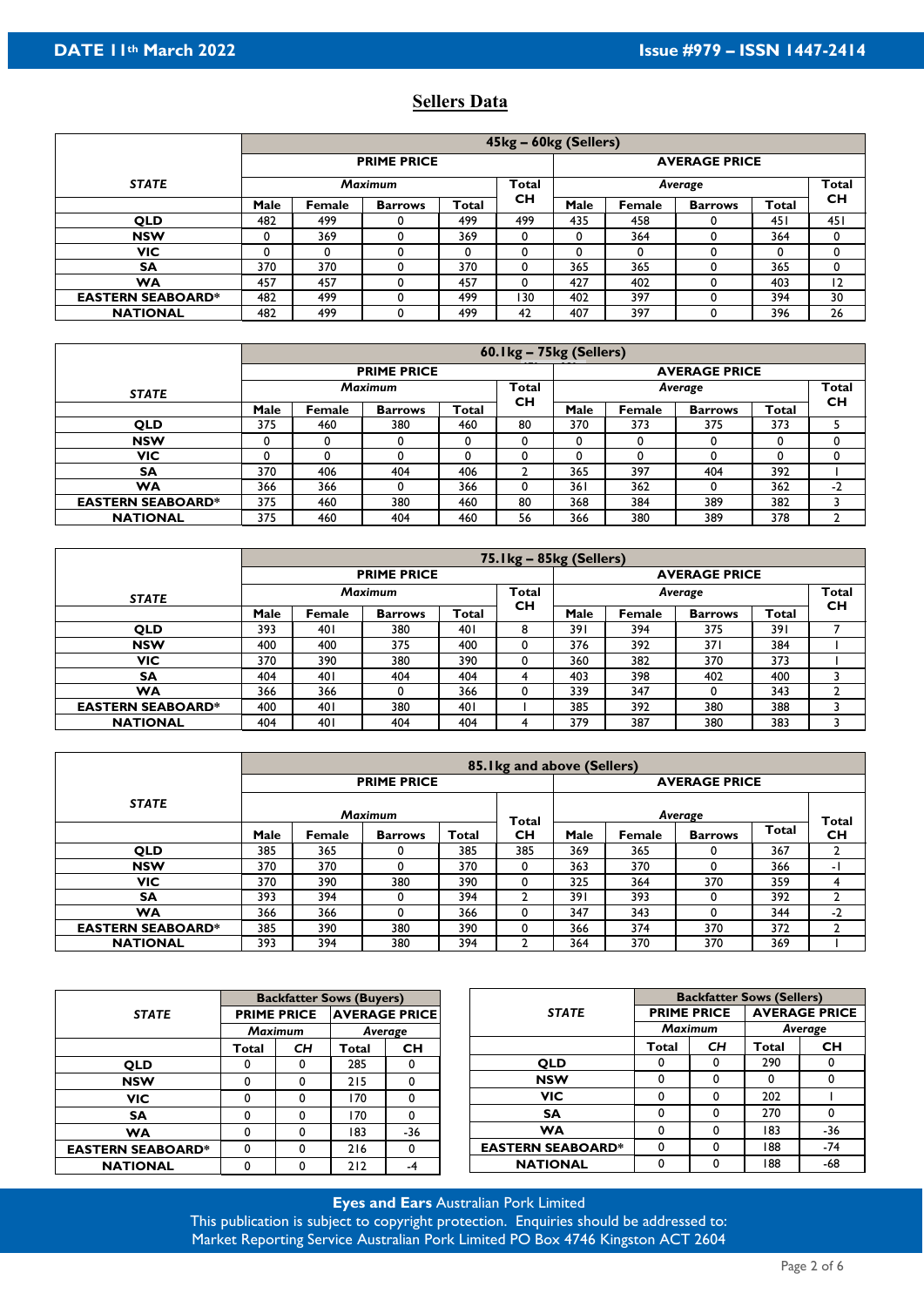# **Sellers Data**

|                          |      |        |                    |              | 45kg – 60kg (Sellers) |                         |        |                |       |                |  |  |
|--------------------------|------|--------|--------------------|--------------|-----------------------|-------------------------|--------|----------------|-------|----------------|--|--|
|                          |      |        | <b>PRIME PRICE</b> |              |                       | <b>AVERAGE PRICE</b>    |        |                |       |                |  |  |
| <b>STATE</b>             |      |        | <b>Maximum</b>     |              | <b>Total</b>          | <b>Total</b><br>Average |        |                |       |                |  |  |
|                          | Male | Female | <b>Barrows</b>     | <b>Total</b> | <b>CH</b>             | Male                    | Female | <b>Barrows</b> | Total | <b>CH</b>      |  |  |
| <b>QLD</b>               | 482  | 499    |                    | 499          | 499                   | 435                     | 458    |                | 45 I  | 451            |  |  |
| <b>NSW</b>               | 0    | 369    |                    | 369          | 0                     | 0                       | 364    |                | 364   | 0              |  |  |
| <b>VIC</b>               | 0    |        |                    | 0            | 0                     | 0                       | 0      |                |       | 0              |  |  |
| <b>SA</b>                | 370  | 370    |                    | 370          | 0                     | 365                     | 365    |                | 365   | 0              |  |  |
| <b>WA</b>                | 457  | 457    |                    | 457          | 0                     | 427                     | 402    |                | 403   | $\overline{2}$ |  |  |
| <b>EASTERN SEABOARD*</b> | 482  | 499    |                    | 499          | 130                   | 402                     | 397    |                | 394   | 30             |  |  |
| <b>NATIONAL</b>          | 482  | 499    |                    | 499          | 42                    | 407                     | 397    |                | 396   | 26             |  |  |

|                          |      | 60.1kg - 75kg (Sellers) |                    |       |                    |                      |        |                |       |                           |  |  |
|--------------------------|------|-------------------------|--------------------|-------|--------------------|----------------------|--------|----------------|-------|---------------------------|--|--|
|                          |      |                         | <b>PRIME PRICE</b> |       |                    | <b>AVERAGE PRICE</b> |        |                |       |                           |  |  |
| <b>STATE</b>             |      |                         | <b>Maximum</b>     |       | Total<br><b>CH</b> |                      |        | Average        |       | <b>Total</b><br><b>CH</b> |  |  |
|                          | Male | Female                  | <b>Barrows</b>     | Total |                    | Male                 | Female | <b>Barrows</b> | Total |                           |  |  |
| <b>QLD</b>               | 375  | 460                     | 380                | 460   | 80                 | 370                  | 373    | 375            | 373   |                           |  |  |
| <b>NSW</b>               | 0    |                         |                    |       |                    |                      | 0      |                |       |                           |  |  |
| VIC                      | 0    |                         |                    |       |                    |                      |        |                |       |                           |  |  |
| <b>SA</b>                | 370  | 406                     | 404                | 406   |                    | 365                  | 397    | 404            | 392   |                           |  |  |
| WA                       | 366  | 366                     |                    | 366   | 0                  | 361                  | 362    |                | 362   | $-2$                      |  |  |
| <b>EASTERN SEABOARD*</b> | 375  | 460                     | 380                | 460   | 80                 | 368                  | 384    | 389            | 382   |                           |  |  |
| <b>NATIONAL</b>          | 375  | 460                     | 404                | 460   | 56                 | 366                  | 380    | 389            | 378   |                           |  |  |

|                          |      | $75.1$ kg – $85$ kg (Sellers) |                    |       |                           |                      |        |                |       |                           |  |  |
|--------------------------|------|-------------------------------|--------------------|-------|---------------------------|----------------------|--------|----------------|-------|---------------------------|--|--|
|                          |      |                               | <b>PRIME PRICE</b> |       |                           | <b>AVERAGE PRICE</b> |        |                |       |                           |  |  |
| <b>STATE</b>             |      |                               | <b>Maximum</b>     |       | <b>Total</b><br><b>CH</b> |                      |        | Average        |       | <b>Total</b><br><b>CH</b> |  |  |
|                          | Male | Female                        | <b>Barrows</b>     | Total |                           | Male                 | Female | <b>Barrows</b> | Total |                           |  |  |
| <b>QLD</b>               | 393  | 40 I                          | 380                | 40 I  | 8                         | 391                  | 394    | 375            | 391   |                           |  |  |
| <b>NSW</b>               | 400  | 400                           | 375                | 400   | 0                         | 376                  | 392    | 371            | 384   |                           |  |  |
| VIC                      | 370  | 390                           | 380                | 390   |                           | 360                  | 382    | 370            | 373   |                           |  |  |
| <b>SA</b>                | 404  | 40 I                          | 404                | 404   |                           | 403                  | 398    | 402            | 400   |                           |  |  |
| WA                       | 366  | 366                           |                    | 366   | 0                         | 339                  | 347    |                | 343   |                           |  |  |
| <b>EASTERN SEABOARD*</b> | 400  | 40 I                          | 380                | 40 I  |                           | 385                  | 392    | 380            | 388   |                           |  |  |
| <b>NATIONAL</b>          | 404  | 401                           | 404                | 404   |                           | 379                  | 387    | 380            | 383   |                           |  |  |

|                          |      |        |                    |       | 85. I kg and above (Sellers) |                      |               |                |       |                    |  |
|--------------------------|------|--------|--------------------|-------|------------------------------|----------------------|---------------|----------------|-------|--------------------|--|
|                          |      |        | <b>PRIME PRICE</b> |       |                              | <b>AVERAGE PRICE</b> |               |                |       |                    |  |
| <b>STATE</b>             |      |        | <b>Maximum</b>     |       | <b>Total</b>                 | Average              |               |                |       |                    |  |
|                          | Male | Female | <b>Barrows</b>     | Total | <b>CH</b>                    | Male                 | <b>Female</b> | <b>Barrows</b> | Total | Total<br><b>CH</b> |  |
| <b>QLD</b>               | 385  | 365    |                    | 385   | 385                          | 369                  | 365           |                | 367   |                    |  |
| <b>NSW</b>               | 370  | 370    |                    | 370   |                              | 363                  | 370           |                | 366   | - 1                |  |
| <b>VIC</b>               | 370  | 390    | 380                | 390   |                              | 325                  | 364           | 370            | 359   |                    |  |
| <b>SA</b>                | 393  | 394    |                    | 394   |                              | 391                  | 393           |                | 392   |                    |  |
| <b>WA</b>                | 366  | 366    |                    | 366   |                              | 347                  | 343           |                | 344   | $-2$               |  |
| <b>EASTERN SEABOARD*</b> | 385  | 390    | 380                | 390   |                              | 366                  | 374           | 370            | 372   |                    |  |
| <b>NATIONAL</b>          | 393  | 394    | 380                | 394   |                              | 364                  | 370           | 370            | 369   |                    |  |

|                          |       |                    | <b>Backfatter Sows (Buyers)</b> |              |                          | <b>Backfatter Sows (Sellers)</b> |    |                      |           |  |
|--------------------------|-------|--------------------|---------------------------------|--------------|--------------------------|----------------------------------|----|----------------------|-----------|--|
| <b>STATE</b>             |       | <b>PRIME PRICE</b> | <b>AVERAGE PRICE</b>            |              | <b>STATE</b>             | <b>PRIME PRICE</b>               |    | <b>AVERAGE PRICE</b> |           |  |
|                          |       | <b>Maximum</b>     |                                 | Average      |                          | <b>Maximum</b>                   |    | Average              |           |  |
|                          | Total | <b>CH</b>          | Total                           | <b>CH</b>    |                          | Total                            | CH | Total                | <b>CH</b> |  |
| <b>OLD</b>               | 0     |                    | 285                             | 0            | <b>QLD</b>               | 0                                |    | 290                  | 0         |  |
| <b>NSW</b>               | 0     |                    | 215                             | $\mathbf{0}$ | <b>NSW</b>               | 0                                | U  | 0                    | 0         |  |
| <b>VIC</b>               |       |                    | 170                             | 0            | <b>VIC</b>               | 0                                |    | 202                  |           |  |
| <b>SA</b>                |       |                    | 170                             | 0            | <b>SA</b>                | 0                                |    | 270                  | 0         |  |
| <b>WA</b>                | 0     |                    | 183                             | $-36$        | <b>WA</b>                | 0                                |    | 183                  | -36       |  |
| <b>EASTERN SEABOARD*</b> | 0     |                    | 216                             | 0            | <b>EASTERN SEABOARD*</b> | 0                                |    | 188                  | -74       |  |
| <b>NATIONAL</b>          |       |                    | 212                             | -4           | <b>NATIONAL</b>          | 0                                |    | 188                  | -68       |  |

**Eyes and Ears** Australian Pork Limited This publication is subject to copyright protection. Enquiries should be addressed to: Market Reporting Service Australian Pork Limited PO Box 4746 Kingston ACT 2604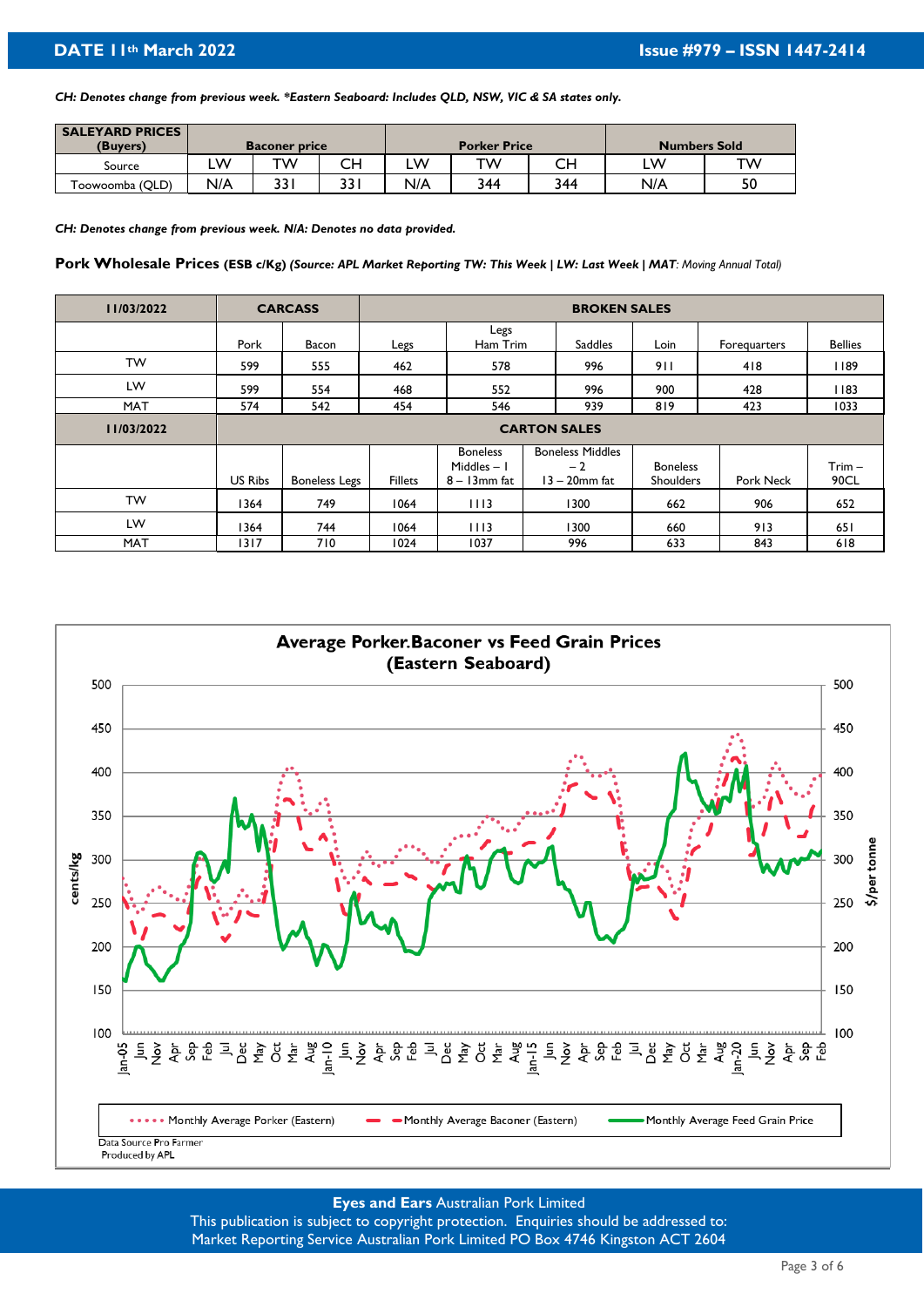*CH: Denotes change from previous week. \*Eastern Seaboard: Includes QLD, NSW, VIC & SA states only.*

| <b>SALEYARD PRICES</b> |     |                      |      |     |                     |     |                     |    |
|------------------------|-----|----------------------|------|-----|---------------------|-----|---------------------|----|
| (Buyers)               |     | <b>Baconer price</b> |      |     | <b>Porker Price</b> |     | <b>Numbers Sold</b> |    |
| Source                 | w   | тw                   | CН   | LW  | тw                  | CН  | LW                  | тw |
| Toowoomba (QLD)        | N/A | 33                   | 33 I | N/A | 344                 | 344 | N/A                 | 50 |

*CH: Denotes change from previous week. N/A: Denotes no data provided.* 

**Pork Wholesale Prices (ESB c/Kg)** *(Source: APL Market Reporting TW: This Week | LW: Last Week | MAT: Moving Annual Total)* 

| 11/03/2022 |                | <b>CARCASS</b>       |                |                                                    | <b>BROKEN SALES</b>                                 |                                     |              |                  |
|------------|----------------|----------------------|----------------|----------------------------------------------------|-----------------------------------------------------|-------------------------------------|--------------|------------------|
|            | Pork           | Bacon                | Legs           | Legs<br>Ham Trim                                   | <b>Saddles</b>                                      | Loin                                | Forequarters | <b>Bellies</b>   |
| <b>TW</b>  | 599            | 555                  | 462            | 578                                                | 996                                                 | 911                                 | 418          | 1189             |
| LW         | 599            | 554                  | 468            | 552                                                | 996                                                 | 900                                 | 428          | 1183             |
| <b>MAT</b> | 574            | 542                  | 454            | 546                                                | 939                                                 | 819                                 | 423          | 1033             |
| 11/03/2022 |                |                      |                |                                                    | <b>CARTON SALES</b>                                 |                                     |              |                  |
|            | <b>US Ribs</b> | <b>Boneless Legs</b> | <b>Fillets</b> | <b>Boneless</b><br>Middles $-1$<br>$8 - 13$ mm fat | <b>Boneless Middles</b><br>$-2$<br>$13 - 20$ mm fat | <b>Boneless</b><br><b>Shoulders</b> | Pork Neck    | $Trim -$<br>90CL |
| <b>TW</b>  | 1364           | 749                  | 1064           | 1113                                               | 1300                                                | 662                                 | 906          | 652              |
| LW         | 1364           | 744                  | 1064           | 1113                                               | 1300                                                | 660                                 | 913          | 651              |
| <b>MAT</b> | 1317           | 710                  | 1024           | 1037                                               | 996                                                 | 633                                 | 843          | 618              |



# **Eyes and Ears** Australian Pork Limited

This publication is subject to copyright protection. Enquiries should be addressed to: Market Reporting Service Australian Pork Limited PO Box 4746 Kingston ACT 2604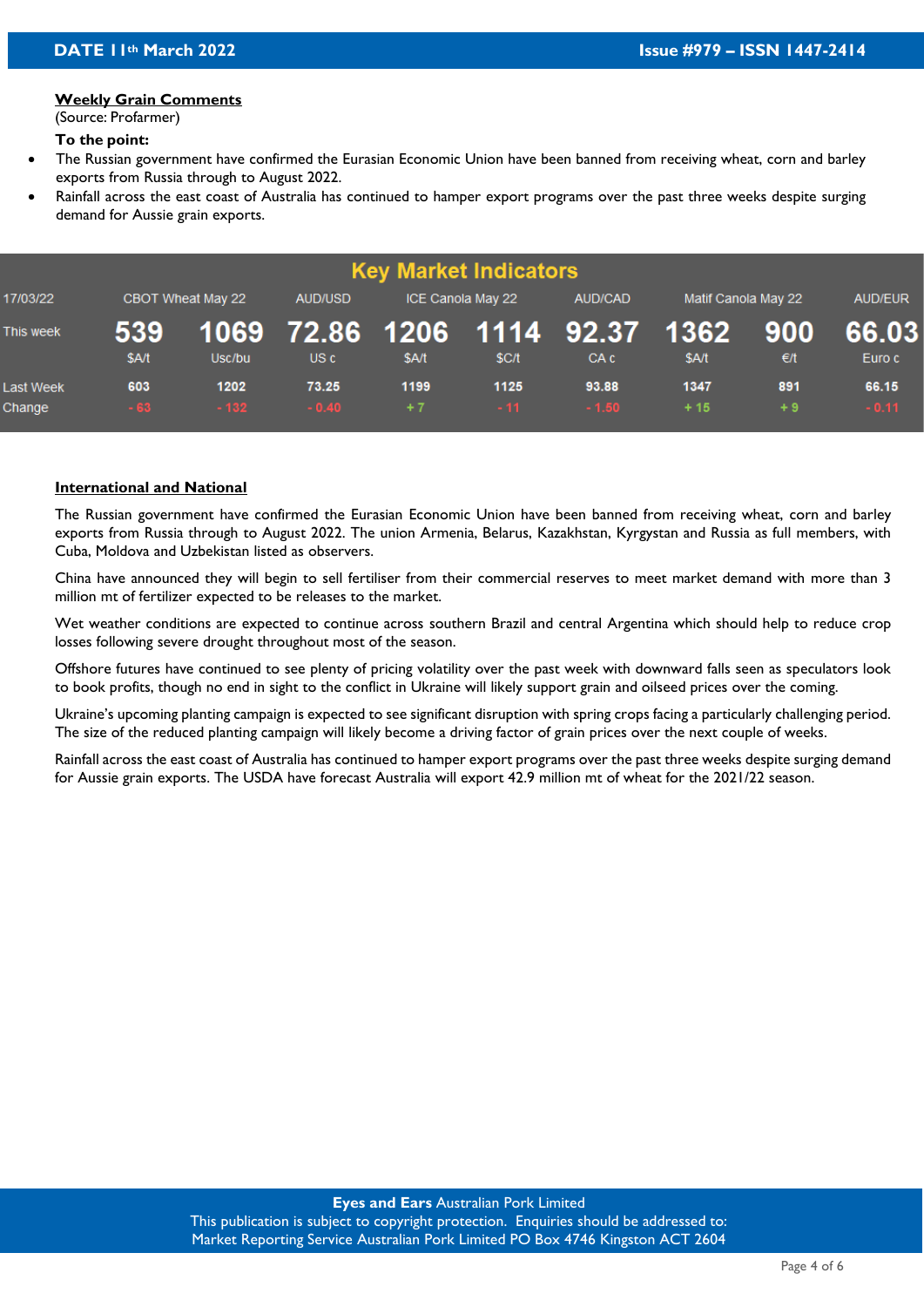#### **Weekly Grain Comments**

(Source: Profarmer)

#### **To the point:**

- The Russian government have confirmed the Eurasian Economic Union have been banned from receiving wheat, corn and barley exports from Russia through to August 2022.
- Rainfall across the east coast of Australia has continued to hamper export programs over the past three weeks despite surging demand for Aussie grain exports.

|                            |              |                   |                                    |              | <b>Key Market Indicators</b> |                  |                     |                      |                  |
|----------------------------|--------------|-------------------|------------------------------------|--------------|------------------------------|------------------|---------------------|----------------------|------------------|
| 17/03/22                   |              | CBOT Wheat May 22 | AUD/USD                            |              | ICE Canola May 22            | AUD/CAD          | Matif Canola May 22 |                      | AUD/EUR          |
| This week                  | 539<br>\$A/t | Usc/bu            | 1069 72.86 1206 1114 92.37<br>US c | \$A/t        | \$C/t                        | CA <sub>c</sub>  | 1362<br>\$A/t       | 900<br>$\epsilon$ /t | 66.03<br>Euro c  |
| <b>Last Week</b><br>Change | 603<br>$-63$ | 1202<br>$-132$    | 73.25<br>$-0.40$                   | 1199<br>$+7$ | 1125<br>$-11$                | 93.88<br>$-1.50$ | 1347<br>$+15$       | 891<br>$+9$          | 66.15<br>$-0.11$ |

## **International and National**

The Russian government have confirmed the Eurasian Economic Union have been banned from receiving wheat, corn and barley exports from Russia through to August 2022. The union Armenia, Belarus, Kazakhstan, Kyrgystan and Russia as full members, with Cuba, Moldova and Uzbekistan listed as observers.

China have announced they will begin to sell fertiliser from their commercial reserves to meet market demand with more than 3 million mt of fertilizer expected to be releases to the market.

Wet weather conditions are expected to continue across southern Brazil and central Argentina which should help to reduce crop losses following severe drought throughout most of the season.

Offshore futures have continued to see plenty of pricing volatility over the past week with downward falls seen as speculators look to book profits, though no end in sight to the conflict in Ukraine will likely support grain and oilseed prices over the coming.

Ukraine's upcoming planting campaign is expected to see significant disruption with spring crops facing a particularly challenging period. The size of the reduced planting campaign will likely become a driving factor of grain prices over the next couple of weeks.

Rainfall across the east coast of Australia has continued to hamper export programs over the past three weeks despite surging demand for Aussie grain exports. The USDA have forecast Australia will export 42.9 million mt of wheat for the 2021/22 season.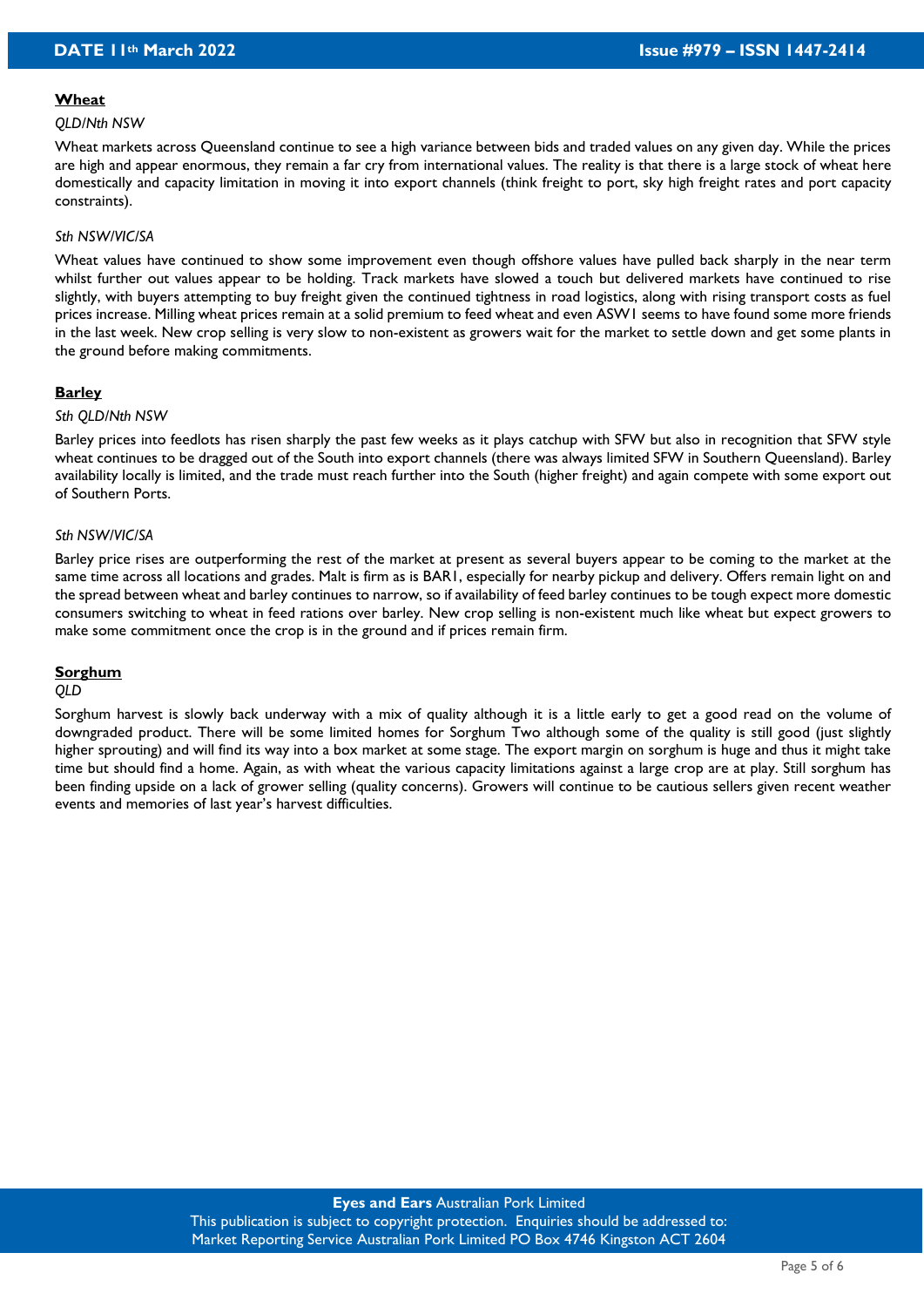#### **Wheat**

#### *QLD/Nth NSW*

Wheat markets across Queensland continue to see a high variance between bids and traded values on any given day. While the prices are high and appear enormous, they remain a far cry from international values. The reality is that there is a large stock of wheat here domestically and capacity limitation in moving it into export channels (think freight to port, sky high freight rates and port capacity constraints).

#### *Sth NSW/VIC/SA*

Wheat values have continued to show some improvement even though offshore values have pulled back sharply in the near term whilst further out values appear to be holding. Track markets have slowed a touch but delivered markets have continued to rise slightly, with buyers attempting to buy freight given the continued tightness in road logistics, along with rising transport costs as fuel prices increase. Milling wheat prices remain at a solid premium to feed wheat and even ASW1 seems to have found some more friends in the last week. New crop selling is very slow to non-existent as growers wait for the market to settle down and get some plants in the ground before making commitments.

#### **Barley**

#### *Sth QLD/Nth NSW*

Barley prices into feedlots has risen sharply the past few weeks as it plays catchup with SFW but also in recognition that SFW style wheat continues to be dragged out of the South into export channels (there was always limited SFW in Southern Queensland). Barley availability locally is limited, and the trade must reach further into the South (higher freight) and again compete with some export out of Southern Ports.

#### *Sth NSW/VIC/SA*

Barley price rises are outperforming the rest of the market at present as several buyers appear to be coming to the market at the same time across all locations and grades. Malt is firm as is BAR1, especially for nearby pickup and delivery. Offers remain light on and the spread between wheat and barley continues to narrow, so if availability of feed barley continues to be tough expect more domestic consumers switching to wheat in feed rations over barley. New crop selling is non-existent much like wheat but expect growers to make some commitment once the crop is in the ground and if prices remain firm.

#### **Sorghum**

#### *QLD*

Sorghum harvest is slowly back underway with a mix of quality although it is a little early to get a good read on the volume of downgraded product. There will be some limited homes for Sorghum Two although some of the quality is still good (just slightly higher sprouting) and will find its way into a box market at some stage. The export margin on sorghum is huge and thus it might take time but should find a home. Again, as with wheat the various capacity limitations against a large crop are at play. Still sorghum has been finding upside on a lack of grower selling (quality concerns). Growers will continue to be cautious sellers given recent weather events and memories of last year's harvest difficulties.